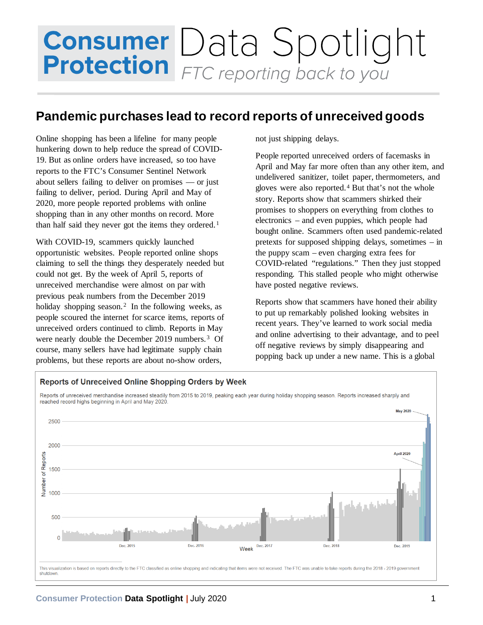## **Consumer** Data Spotlight<br>**Protection** FTC reporting back to you

## **Pandemic purchases lead to record reports of unreceived goods**

Online shopping has been a lifeline for many people hunkering down to help reduce the spread of COVID-19. But as online orders have increased, so too have reports to the FTC's Consumer Sentinel Network about sellers failing to deliver on promises — or just failing to deliver, period. During April and May of 2020, more people reported problems with online shopping than in any other months on record. More than half said they never got the items they ordered.<sup>[1](#page-1-0)</sup>

With COVID-19, scammers quickly launched opportunistic websites. People reported online shops claiming to sell the things they desperately needed but could not get. By the week of April 5, reports of unreceived merchandise were almost on par with previous peak numbers from the December 2019 holiday shopping season.<sup>[2](#page-1-1)</sup> In the following weeks, as people scoured the internet for scarce items, reports of unreceived orders continued to climb. Reports in May were nearly double the December 2019 numbers.<sup>3</sup> Of course, many sellers have had legitimate supply chain problems, but these reports are about no-show orders,

not just shipping delays.

People reported unreceived orders of facemasks in April and May far more often than any other item, and undelivered sanitizer, toilet paper, thermometers, and gloves were also reported. [4](#page-1-3) But that's not the whole story. Reports show that scammers shirked their promises to shoppers on everything from clothes to electronics – and even puppies, which people had bought online. Scammers often used pandemic-related pretexts for supposed shipping delays, sometimes – in the puppy scam – even charging extra fees for COVID-related "regulations." Then they just stopped responding. This stalled people who might otherwise have posted negative reviews.

Reports show that scammers have honed their ability to put up remarkably polished looking websites in recent years. They've learned to work social media and online advertising to their advantage, and to peel off negative reviews by simply disappearing and popping back up under a new name. This is a global



## **Consumer Protection Data Spotlight |** July 2020 1